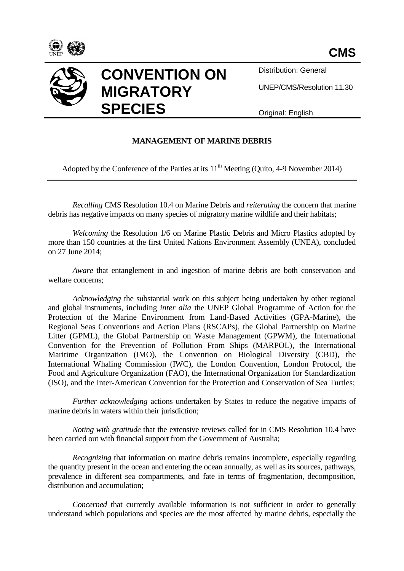



Distribution: General

UNEP/CMS/Resolution 11.30

Original: English

## **MANAGEMENT OF MARINE DEBRIS**

Adopted by the Conference of the Parties at its  $11<sup>th</sup>$  Meeting (Quito, 4-9 November 2014)

*Recalling* CMS Resolution 10.4 on Marine Debris and *reiterating* the concern that marine debris has negative impacts on many species of migratory marine wildlife and their habitats;

*Welcoming* the Resolution 1/6 on Marine Plastic Debris and Micro Plastics adopted by more than 150 countries at the first United Nations Environment Assembly (UNEA), concluded on 27 June 2014;

*Aware* that entanglement in and ingestion of marine debris are both conservation and welfare concerns;

*Acknowledging* the substantial work on this subject being undertaken by other regional and global instruments, including *inter alia* the UNEP Global Programme of Action for the Protection of the Marine Environment from Land-Based Activities (GPA-Marine), the Regional Seas Conventions and Action Plans (RSCAPs), the Global Partnership on Marine Litter (GPML), the Global Partnership on Waste Management (GPWM), the International Convention for the Prevention of Pollution From Ships (MARPOL), the International Maritime Organization (IMO), the Convention on Biological Diversity (CBD), the International Whaling Commission (IWC), the London Convention, London Protocol, the Food and Agriculture Organization (FAO), the International Organization for Standardization (ISO), and the Inter-American Convention for the Protection and Conservation of Sea Turtles;

*Further acknowledging* actions undertaken by States to reduce the negative impacts of marine debris in waters within their jurisdiction;

*Noting with gratitude* that the extensive reviews called for in CMS Resolution 10.4 have been carried out with financial support from the Government of Australia;

*Recognizing* that information on marine debris remains incomplete, especially regarding the quantity present in the ocean and entering the ocean annually, as well as its sources, pathways, prevalence in different sea compartments, and fate in terms of fragmentation, decomposition, distribution and accumulation;

*Concerned* that currently available information is not sufficient in order to generally understand which populations and species are the most affected by marine debris, especially the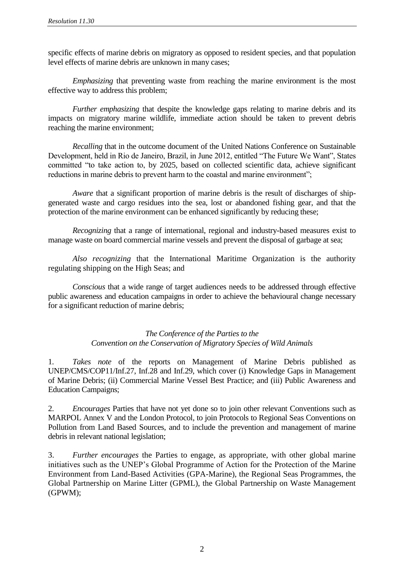specific effects of marine debris on migratory as opposed to resident species, and that population level effects of marine debris are unknown in many cases;

*Emphasizing* that preventing waste from reaching the marine environment is the most effective way to address this problem;

*Further emphasizing* that despite the knowledge gaps relating to marine debris and its impacts on migratory marine wildlife, immediate action should be taken to prevent debris reaching the marine environment;

*Recalling* that in the outcome document of the United Nations Conference on Sustainable Development, held in Rio de Janeiro, Brazil, in June 2012, entitled "The Future We Want", States committed "to take action to, by 2025, based on collected scientific data, achieve significant reductions in marine debris to prevent harm to the coastal and marine environment";

*Aware* that a significant proportion of marine debris is the result of discharges of shipgenerated waste and cargo residues into the sea, lost or abandoned fishing gear, and that the protection of the marine environment can be enhanced significantly by reducing these;

*Recognizing* that a range of international, regional and industry-based measures exist to manage waste on board commercial marine vessels and prevent the disposal of garbage at sea;

*Also recognizing* that the International Maritime Organization is the authority regulating shipping on the High Seas; and

*Conscious* that a wide range of target audiences needs to be addressed through effective public awareness and education campaigns in order to achieve the behavioural change necessary for a significant reduction of marine debris;

#### *The Conference of the Parties to the Convention on the Conservation of Migratory Species of Wild Animals*

1. *Takes note* of the reports on Management of Marine Debris published as UNEP/CMS/COP11/Inf.27, Inf.28 and Inf.29, which cover (i) Knowledge Gaps in Management of Marine Debris; (ii) Commercial Marine Vessel Best Practice; and (iii) Public Awareness and Education Campaigns;

2. *Encourages* Parties that have not yet done so to join other relevant Conventions such as MARPOL Annex V and the London Protocol, to join Protocols to Regional Seas Conventions on Pollution from Land Based Sources, and to include the prevention and management of marine debris in relevant national legislation;

3. *Further encourages* the Parties to engage, as appropriate, with other global marine initiatives such as the UNEP's Global Programme of Action for the Protection of the Marine Environment from Land-Based Activities (GPA-Marine), the Regional Seas Programmes, the Global Partnership on Marine Litter (GPML), the Global Partnership on Waste Management (GPWM);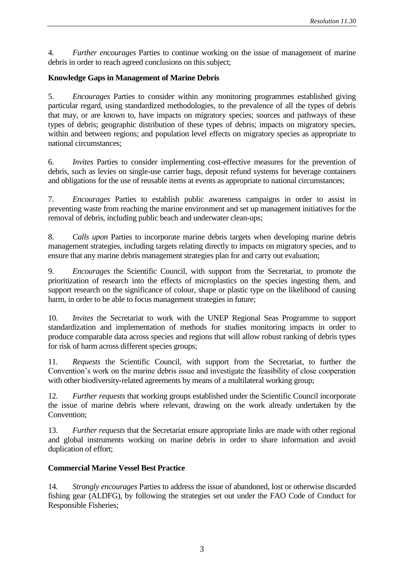4. *Further encourages* Parties to continue working on the issue of management of marine debris in order to reach agreed conclusions on this subject;

## **Knowledge Gaps in Management of Marine Debris**

5. *Encourages* Parties to consider within any monitoring programmes established giving particular regard, using standardized methodologies, to the prevalence of all the types of debris that may, or are known to, have impacts on migratory species; sources and pathways of these types of debris; geographic distribution of these types of debris; impacts on migratory species, within and between regions; and population level effects on migratory species as appropriate to national circumstances;

6. *Invites* Parties to consider implementing cost-effective measures for the prevention of debris, such as levies on single-use carrier bags, deposit refund systems for beverage containers and obligations for the use of reusable items at events as appropriate to national circumstances;

7. *Encourages* Parties to establish public awareness campaigns in order to assist in preventing waste from reaching the marine environment and set up management initiatives for the removal of debris, including public beach and underwater clean-ups;

8. *Calls upon* Parties to incorporate marine debris targets when developing marine debris management strategies, including targets relating directly to impacts on migratory species, and to ensure that any marine debris management strategies plan for and carry out evaluation;

9. *Encourages* the Scientific Council, with support from the Secretariat, to promote the prioritization of research into the effects of microplastics on the species ingesting them, and support research on the significance of colour, shape or plastic type on the likelihood of causing harm, in order to be able to focus management strategies in future;

10. *Invites* the Secretariat to work with the UNEP Regional Seas Programme to support standardization and implementation of methods for studies monitoring impacts in order to produce comparable data across species and regions that will allow robust ranking of debris types for risk of harm across different species groups;

11. *Requests* the Scientific Council, with support from the Secretariat, to further the Convention's work on the marine debris issue and investigate the feasibility of close cooperation with other biodiversity-related agreements by means of a multilateral working group;

12. *Further requests* that working groups established under the Scientific Council incorporate the issue of marine debris where relevant, drawing on the work already undertaken by the Convention;

13. *Further requests* that the Secretariat ensure appropriate links are made with other regional and global instruments working on marine debris in order to share information and avoid duplication of effort;

#### **Commercial Marine Vessel Best Practice**

14. *Strongly encourages* Parties to address the issue of abandoned, lost or otherwise discarded fishing gear (ALDFG), by following the strategies set out under the FAO Code of Conduct for Responsible Fisheries;